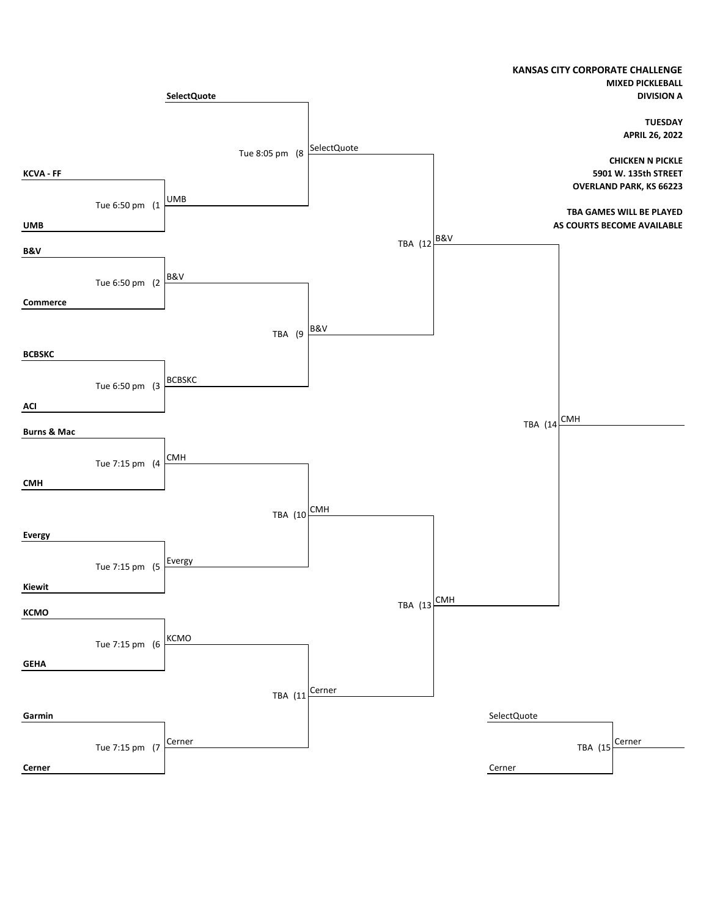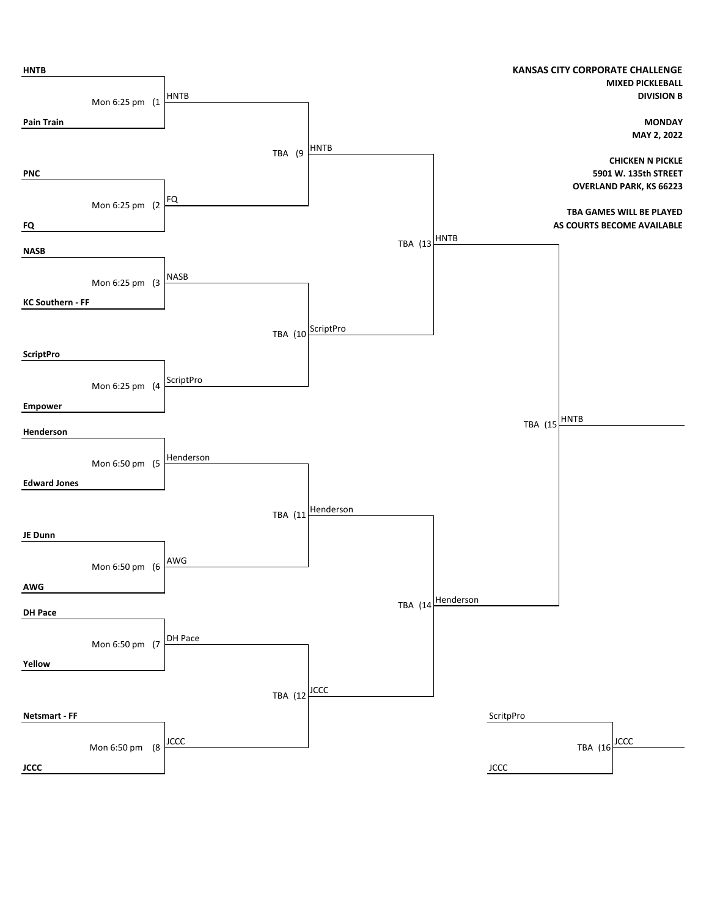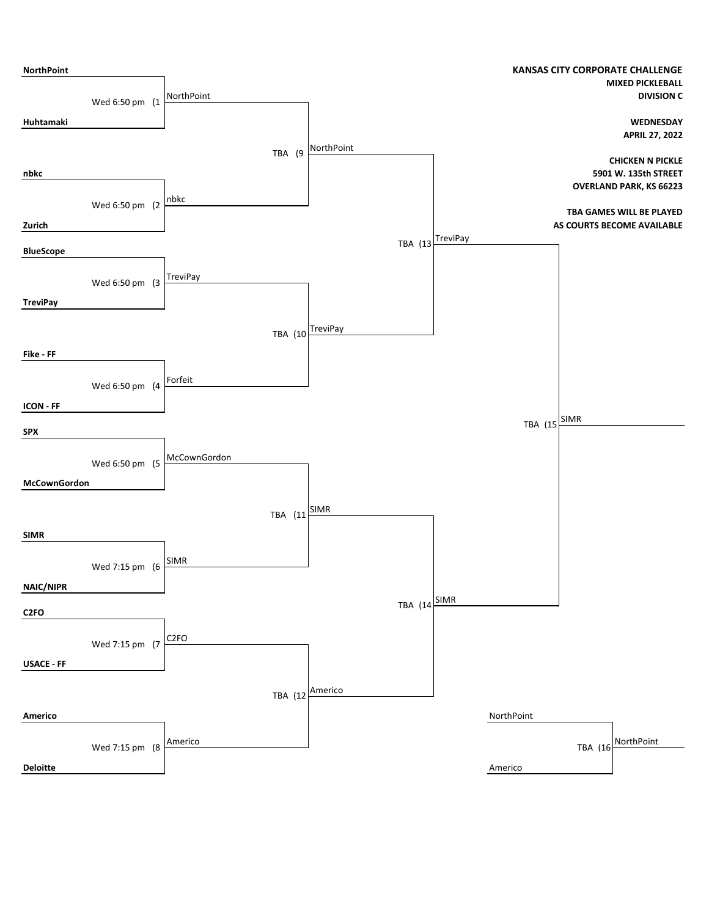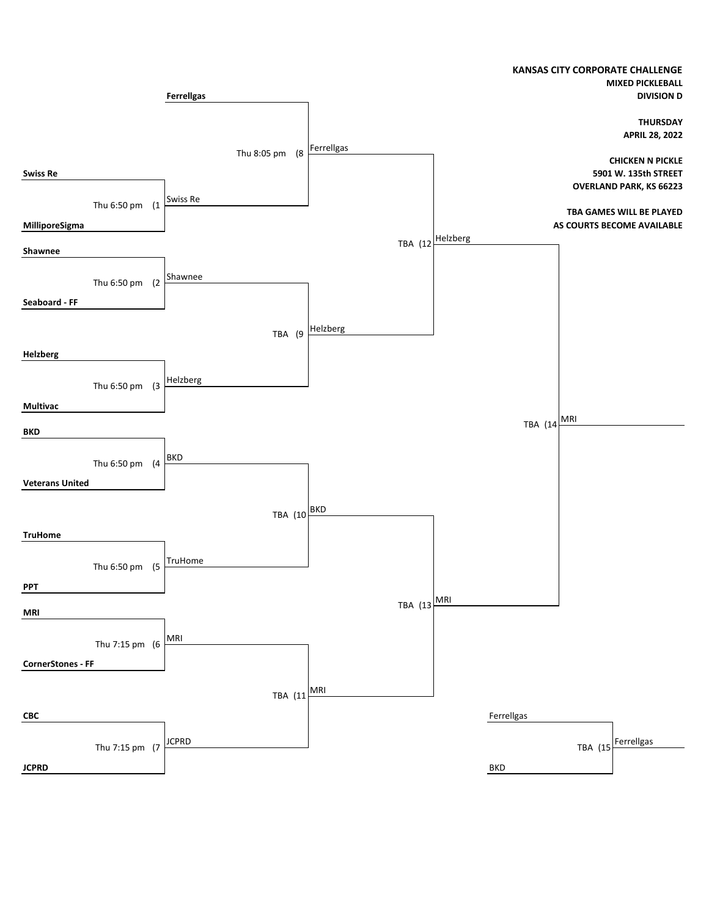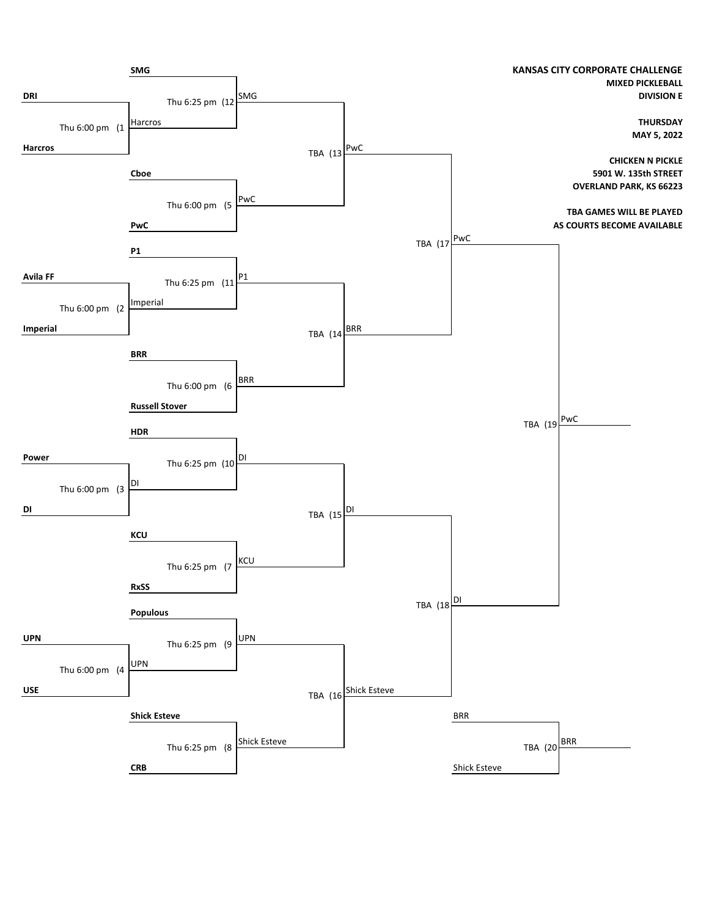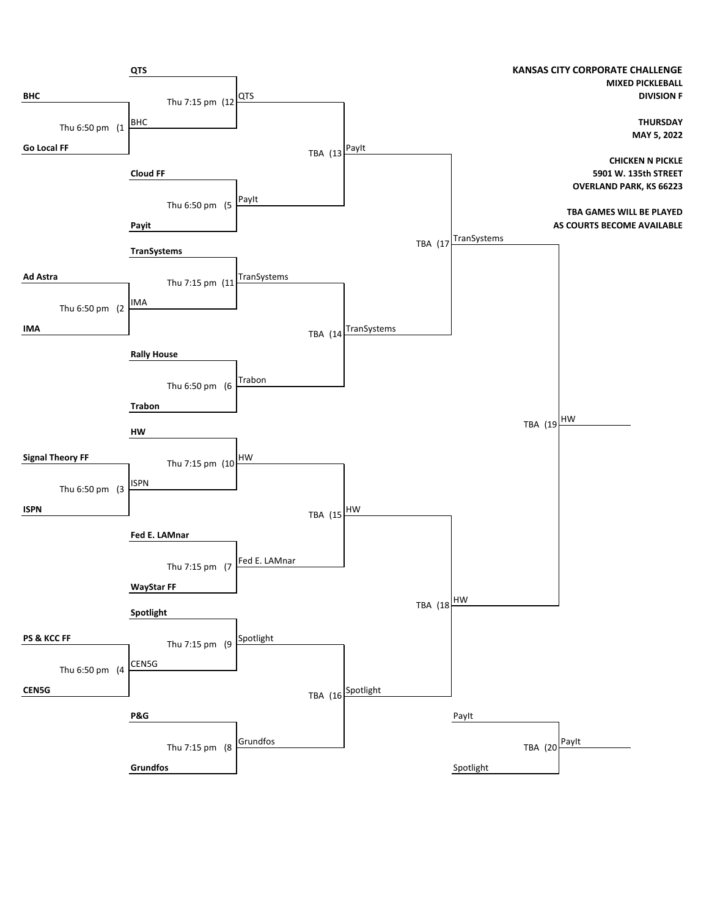